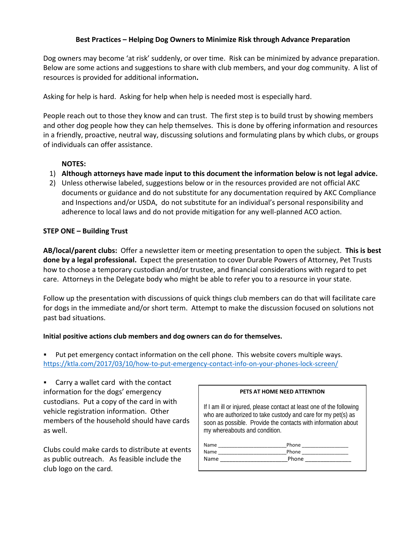## **Best Practices – Helping Dog Owners to Minimize Risk through Advance Preparation**

Dog owners may become 'at risk' suddenly, or over time. Risk can be minimized by advance preparation. Below are some actions and suggestions to share with club members, and your dog community. A list of resources is provided for additional information**.** 

Asking for help is hard. Asking for help when help is needed most is especially hard.

People reach out to those they know and can trust. The first step is to build trust by showing members and other dog people how they can help themselves. This is done by offering information and resources in a friendly, proactive, neutral way, discussing solutions and formulating plans by which clubs, or groups of individuals can offer assistance.

## **NOTES:**

- 1) **Although attorneys have made input to this document the information below is not legal advice.**
- 2) Unless otherwise labeled, suggestions below or in the resources provided are not official AKC documents or guidance and do not substitute for any documentation required by AKC Compliance and Inspections and/or USDA, do not substitute for an individual's personal responsibility and adherence to local laws and do not provide mitigation for any well‐planned ACO action.

## **STEP ONE – Building Trust**

**AB/local/parent clubs:** Offer a newsletter item or meeting presentation to open the subject. **This is best done by a legal professional.** Expect the presentation to cover Durable Powers of Attorney, Pet Trusts how to choose a temporary custodian and/or trustee, and financial considerations with regard to pet care. Attorneys in the Delegate body who might be able to refer you to a resource in your state.

Follow up the presentation with discussions of quick things club members can do that will facilitate care for dogs in the immediate and/or short term. Attempt to make the discussion focused on solutions not past bad situations.

### **Initial positive actions club members and dog owners can do for themselves.**

 Put pet emergency contact information on the cell phone. This website covers multiple ways. https://ktla.com/2017/03/10/how-to-put-emergency-contact-info-on-your-phones-lock-screen/

 Carry a wallet card with the contact information for the dogs' emergency custodians. Put a copy of the card in with vehicle registration information. Other members of the household should have cards as well.

Clubs could make cards to distribute at events as public outreach. As feasible include the club logo on the card.

| PETS AT HOME NEED ATTENTION                                                                                                                                                                                                            |                                                   |
|----------------------------------------------------------------------------------------------------------------------------------------------------------------------------------------------------------------------------------------|---------------------------------------------------|
| If I am ill or injured, please contact at least one of the following<br>who are authorized to take custody and care for my pet(s) as<br>soon as possible. Provide the contacts with information about<br>my whereabouts and condition. |                                                   |
|                                                                                                                                                                                                                                        | Phone ___________________<br>Phone ______________ |
| Name                                                                                                                                                                                                                                   |                                                   |
|                                                                                                                                                                                                                                        |                                                   |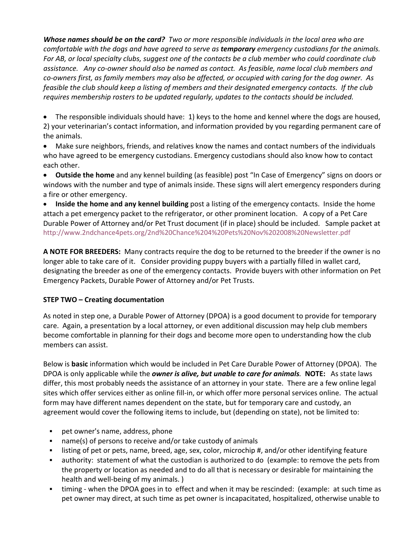*Whose names should be on the card? Two or more responsible individuals in the local area who are comfortable with the dogs and have agreed to serve as temporary emergency custodians for the animals. For AB, or local specialty clubs, suggest one of the contacts be a club member who could coordinate club assistance. Any co‐owner should also be named as contact. As feasible, name local club members and co‐owners first, as family members may also be affected, or occupied with caring for the dog owner. As feasible the club should keep a listing of members and their designated emergency contacts. If the club requires membership rosters to be updated regularly, updates to the contacts should be included.* 

• The responsible individuals should have: 1) keys to the home and kennel where the dogs are housed, 2) your veterinarian's contact information, and information provided by you regarding permanent care of the animals.

 Make sure neighbors, friends, and relatives know the names and contact numbers of the individuals who have agreed to be emergency custodians. Emergency custodians should also know how to contact each other.

 **Outside the home** and any kennel building (as feasible) post "In Case of Emergency" signs on doors or windows with the number and type of animals inside. These signs will alert emergency responders during a fire or other emergency.

 **Inside the home and any kennel building** post a listing of the emergency contacts. Inside the home attach a pet emergency packet to the refrigerator, or other prominent location. A copy of a Pet Care Durable Power of Attorney and/or Pet Trust document (if in place) should be included. Sample packet at http://www.2ndchance4pets.org/2nd%20Chance%204%20Pets%20Nov%202008%20Newsletter.pdf

**A NOTE FOR BREEDERS:** Many contracts require the dog to be returned to the breeder if the owner is no longer able to take care of it. Consider providing puppy buyers with a partially filled in wallet card, designating the breeder as one of the emergency contacts. Provide buyers with other information on Pet Emergency Packets, Durable Power of Attorney and/or Pet Trusts.

## **STEP TWO – Creating documentation**

As noted in step one, a Durable Power of Attorney (DPOA) is a good document to provide for temporary care. Again, a presentation by a local attorney, or even additional discussion may help club members become comfortable in planning for their dogs and become more open to understanding how the club members can assist.

Below is **basic** information which would be included in Pet Care Durable Power of Attorney (DPOA). The DPOA is only applicable while the *owner is alive, but unable to care for animals.* **NOTE:**  As state laws differ, this most probably needs the assistance of an attorney in your state. There are a few online legal sites which offer services either as online fill‐in, or which offer more personal services online. The actual form may have different names dependent on the state, but for temporary care and custody, an agreement would cover the following items to include, but (depending on state), not be limited to:

- pet owner's name, address, phone
- name(s) of persons to receive and/or take custody of animals
- listing of pet or pets, name, breed, age, sex, color, microchip #, and/or other identifying feature
- authority: statement of what the custodian is authorized to do (example: to remove the pets from the property or location as needed and to do all that is necessary or desirable for maintaining the health and well-being of my animals.)
- timing ‐ when the DPOA goes in to effect and when it may be rescinded: (example: at such time as pet owner may direct, at such time as pet owner is incapacitated, hospitalized, otherwise unable to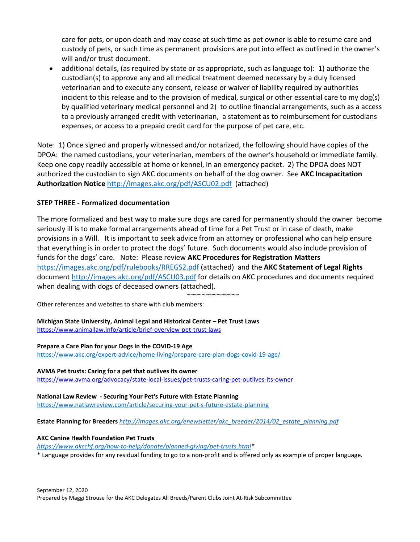care for pets, or upon death and may cease at such time as pet owner is able to resume care and custody of pets, or such time as permanent provisions are put into effect as outlined in the owner's will and/or trust document.

 additional details, (as required by state or as appropriate, such as language to): 1) authorize the custodian(s) to approve any and all medical treatment deemed necessary by a duly licensed veterinarian and to execute any consent, release or waiver of liability required by authorities incident to this release and to the provision of medical, surgical or other essential care to my dog(s) by qualified veterinary medical personnel and 2) to outline financial arrangements, such as a access to a previously arranged credit with veterinarian, a statement as to reimbursement for custodians expenses, or access to a prepaid credit card for the purpose of pet care, etc.

Note: 1) Once signed and properly witnessed and/or notarized, the following should have copies of the DPOA: the named custodians, your veterinarian, members of the owner's household or immediate family. Keep one copy readily accessible at home or kennel, in an emergency packet. 2) The DPOA does NOT authorized the custodian to sign AKC documents on behalf of the dog owner. See **AKC Incapacitation Authorization Notice** http://images.akc.org/pdf/ASCU02.pdf (attached)

## **STEP THREE ‐ Formalized documentation**

The more formalized and best way to make sure dogs are cared for permanently should the owner become seriously ill is to make formal arrangements ahead of time for a Pet Trust or in case of death, make provisions in a Will. It is important to seek advice from an attorney or professional who can help ensure that everything is in order to protect the dogs' future. Such documents would also include provision of funds for the dogs' care. Note: Please review **AKC Procedures for Registration Matters** https://images.akc.org/pdf/rulebooks/RREGS2.pdf (attached) and the **AKC Statement of Legal Rights** document http://images.akc.org/pdf/ASCU03.pdf for details on AKC procedures and documents required when dealing with dogs of deceased owners (attached).

~~~~~~~~~~~~~~~

Other references and websites to share with club members:

**Michigan State University, Animal Legal and Historical Center – Pet Trust Laws**  https://www.animallaw.info/article/brief‐overview‐pet‐trust‐laws

#### **Prepare a Care Plan for your Dogs in the COVID‐19 Age**

https://www.akc.org/expert‐advice/home‐living/prepare‐care‐plan‐dogs‐covid‐19‐age/

**AVMA Pet trusts: Caring for a pet that outlives its owner**  https://www.avma.org/advocacy/state-local-issues/pet-trusts-caring-pet-outlives-its-owner

**National Law Review ‐ Securing Your Pet's Future with Estate Planning**  https://www.natlawreview.com/article/securing‐your‐pet‐s‐future‐estate‐planning

**Estate Planning for Breeders** *http://images.akc.org/enewsletter/akc\_breeder/2014/02\_estate\_planning.pdf*

#### **AKC Canine Health Foundation Pet Trusts**

*https://www.akcchf.org/how‐to‐help/donate/planned‐giving/pet‐trusts.html\** 

\* Language provides for any residual funding to go to a non‐profit and is offered only as example of proper language.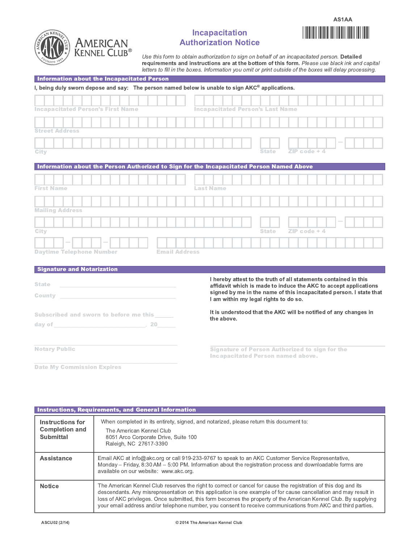

# **Incapacitation Authorization Notice**



Use this form to obtain authorization to sign on behalf of an incapacitated person. Detailed requirements and instructions are at the bottom of this form. Please use black ink and capital letters to fill in the boxes. Information you omit or print outside of the boxes will delay processing.

| Information about the Incapacitated Person                                                                                                                                                                                     |                                                                                                                                         |  |  |  |
|--------------------------------------------------------------------------------------------------------------------------------------------------------------------------------------------------------------------------------|-----------------------------------------------------------------------------------------------------------------------------------------|--|--|--|
| I, being duly sworn depose and say: The person named below is unable to sign $AKC®$ applications.                                                                                                                              |                                                                                                                                         |  |  |  |
|                                                                                                                                                                                                                                |                                                                                                                                         |  |  |  |
| <b>Incapacitated Person's First Name</b>                                                                                                                                                                                       | <b>Incapacitated Person's Last Name</b>                                                                                                 |  |  |  |
|                                                                                                                                                                                                                                |                                                                                                                                         |  |  |  |
| <b>Street Address</b>                                                                                                                                                                                                          |                                                                                                                                         |  |  |  |
|                                                                                                                                                                                                                                |                                                                                                                                         |  |  |  |
| City                                                                                                                                                                                                                           | $ZIP code + 4$<br><b>State</b>                                                                                                          |  |  |  |
| Information about the Person Authorized to Sign for the Incapacitated Person Named Above                                                                                                                                       |                                                                                                                                         |  |  |  |
|                                                                                                                                                                                                                                |                                                                                                                                         |  |  |  |
| <b>First Name</b>                                                                                                                                                                                                              | <b>Last Name</b>                                                                                                                        |  |  |  |
|                                                                                                                                                                                                                                |                                                                                                                                         |  |  |  |
| <b>Mailing Address</b>                                                                                                                                                                                                         |                                                                                                                                         |  |  |  |
|                                                                                                                                                                                                                                |                                                                                                                                         |  |  |  |
| City                                                                                                                                                                                                                           | <b>State</b><br>$ZIP code + 4$                                                                                                          |  |  |  |
|                                                                                                                                                                                                                                |                                                                                                                                         |  |  |  |
| <b>Daytime Telephone Number</b>                                                                                                                                                                                                | <b>Email Address</b>                                                                                                                    |  |  |  |
| <b>Signature and Notarization</b>                                                                                                                                                                                              |                                                                                                                                         |  |  |  |
|                                                                                                                                                                                                                                | I hereby attest to the truth of all statements contained in this                                                                        |  |  |  |
| <b>State</b>                                                                                                                                                                                                                   | affidavit which is made to induce the AKC to accept applications<br>signed by me in the name of this incapacitated person. I state that |  |  |  |
| <b>County</b>                                                                                                                                                                                                                  | I am within my legal rights to do so.                                                                                                   |  |  |  |
| <b>Subscribed and sworn to before me this</b>                                                                                                                                                                                  | It is understood that the AKC will be notified of any changes in                                                                        |  |  |  |
| day of the contract of the contract of the contract of the contract of the contract of the contract of the contract of the contract of the contract of the contract of the contract of the contract of the contract of the con | the above.                                                                                                                              |  |  |  |
|                                                                                                                                                                                                                                |                                                                                                                                         |  |  |  |
| <b>Notary Public</b>                                                                                                                                                                                                           |                                                                                                                                         |  |  |  |
|                                                                                                                                                                                                                                | <b>Signature of Person Authorized to sign for the</b><br><b>Incapacitated Person named above.</b>                                       |  |  |  |
| <b>Date My Commission Expires</b>                                                                                                                                                                                              |                                                                                                                                         |  |  |  |

| <b>Instructions, Requirements, and General Information</b> |                                                                                                                                                                                                                                                                                                                                                                                                                                                                           |  |  |
|------------------------------------------------------------|---------------------------------------------------------------------------------------------------------------------------------------------------------------------------------------------------------------------------------------------------------------------------------------------------------------------------------------------------------------------------------------------------------------------------------------------------------------------------|--|--|
| Instructions for<br><b>Completion and</b><br>Submittal     | When completed in its entirety, signed, and notarized, please return this document to:<br>The American Kennel Club<br>8051 Arco Corporate Drive, Suite 100<br>Raleigh, NC 27617-3390                                                                                                                                                                                                                                                                                      |  |  |
| <b>Assistance</b>                                          | Email AKC at info@akc.org or call 919-233-9767 to speak to an AKC Customer Service Representative,<br>Monday – Friday, 8:30 AM – 5:00 PM. Information about the registration process and downloadable forms are<br>available on our website: www.akc.org.                                                                                                                                                                                                                 |  |  |
| <b>Notice</b>                                              | The American Kennel Club reserves the right to correct or cancel for cause the registration of this dog and its<br>descendants. Any misrepresentation on this application is one example of for cause cancellation and may result in<br>loss of AKC privileges. Once submitted, this form becomes the property of the American Kennel Club. By supplying<br>your email address and/or telephone number, you consent to receive communications from AKC and third parties. |  |  |

© 2014 The American Kennel Club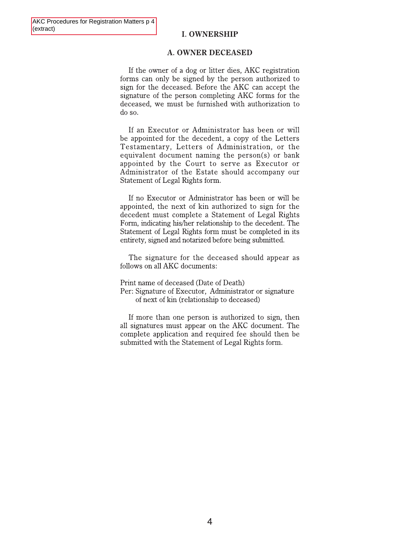### **I. OWNERSHIP**

#### **A. OWNER DECEASED**

If the owner of a dog or litter dies, AKC registration forms can only be signed by the person authorized to sign for the deceased. Before the AKC can accept the signature of the person completing AKC forms for the deceased, we must be furnished with authorization to do so.

If an Executor or Administrator has been or will be appointed for the decedent, a copy of the Letters Testamentary, Letters of Administration, or the equivalent document naming the person(s) or bank appointed by the Court to serve as Executor or Administrator of the Estate should accompany our Statement of Legal Rights form.

If no Executor or Administrator has been or will be appointed, the next of kin authorized to sign for the decedent must complete a Statement of Legal Rights Form, indicating his/her relationship to the decedent. The Statement of Legal Rights form must be completed in its entirety, signed and notarized before being submitted.

The signature for the deceased should appear as follows on all AKC documents:

Print name of deceased (Date of Death) Per: Signature of Executor, Administrator or signature of next of kin (relationship to deceased)

If more than one person is authorized to sign, then all signatures must appear on the AKC document. The complete application and required fee should then be submitted with the Statement of Legal Rights form.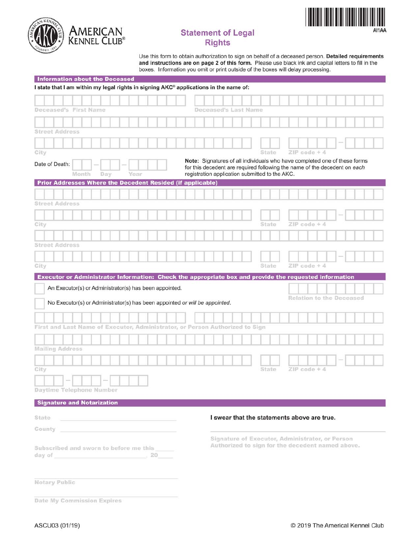

# **Statement of Legal Rights**



Use this form to obtain authorization to sign on behalf of a deceased person. Detailed requirements and instructions are on page 2 of this form. Please use black ink and capital letters to fill in the boxes. Information you omit or print outside of the boxes will delay processing.

| <b>Information about the Deceased</b>                                                 |                      |                                                                                                                                                                                                          |                                 |  |  |
|---------------------------------------------------------------------------------------|----------------------|----------------------------------------------------------------------------------------------------------------------------------------------------------------------------------------------------------|---------------------------------|--|--|
| I state that I am within my legal rights in signing AKC® applications in the name of: |                      |                                                                                                                                                                                                          |                                 |  |  |
|                                                                                       |                      |                                                                                                                                                                                                          |                                 |  |  |
| Deceased's First Name                                                                 | Deceased's Last Name |                                                                                                                                                                                                          |                                 |  |  |
|                                                                                       |                      |                                                                                                                                                                                                          |                                 |  |  |
| <b>Street Address</b>                                                                 |                      |                                                                                                                                                                                                          |                                 |  |  |
|                                                                                       |                      |                                                                                                                                                                                                          |                                 |  |  |
| City                                                                                  |                      | State                                                                                                                                                                                                    | $ZIP code + 4$                  |  |  |
| Date of Death:<br>Month<br>Year<br>Day                                                |                      | Note: Signatures of all individuals who have completed one of these forms<br>for this decedent are required following the name of the decedent on each<br>registration application submitted to the AKC. |                                 |  |  |
| <b>Prior Addresses Where the Decedent Resided (if applicable)</b>                     |                      |                                                                                                                                                                                                          |                                 |  |  |
|                                                                                       |                      |                                                                                                                                                                                                          |                                 |  |  |
| <b>Street Address</b>                                                                 |                      |                                                                                                                                                                                                          |                                 |  |  |
|                                                                                       |                      |                                                                                                                                                                                                          |                                 |  |  |
| City                                                                                  |                      | State                                                                                                                                                                                                    | $ZIP code + 4$                  |  |  |
|                                                                                       |                      |                                                                                                                                                                                                          |                                 |  |  |
| <b>Street Address</b>                                                                 |                      |                                                                                                                                                                                                          |                                 |  |  |
|                                                                                       |                      |                                                                                                                                                                                                          |                                 |  |  |
| City                                                                                  |                      | State                                                                                                                                                                                                    | $ZIP code + 4$                  |  |  |
| No Executor(s) or Administrator(s) has been appointed or will be appointed.           |                      |                                                                                                                                                                                                          | <b>Relation to the Deceased</b> |  |  |
| First and Last Name of Executor, Administrator, or Person Authorized to Sign          |                      |                                                                                                                                                                                                          |                                 |  |  |
|                                                                                       |                      |                                                                                                                                                                                                          |                                 |  |  |
|                                                                                       |                      |                                                                                                                                                                                                          |                                 |  |  |
| <b>Mailing Address</b>                                                                |                      |                                                                                                                                                                                                          |                                 |  |  |
|                                                                                       |                      |                                                                                                                                                                                                          |                                 |  |  |
| City                                                                                  |                      | State                                                                                                                                                                                                    | ZIP code + 4                    |  |  |
| Daytime Telephone Number                                                              |                      |                                                                                                                                                                                                          |                                 |  |  |
|                                                                                       |                      |                                                                                                                                                                                                          |                                 |  |  |
| <b>Signature and Notarization</b>                                                     |                      |                                                                                                                                                                                                          |                                 |  |  |
| State                                                                                 |                      | I swear that the statements above are true.                                                                                                                                                              |                                 |  |  |
| County<br>the control of the control of the control of                                |                      |                                                                                                                                                                                                          |                                 |  |  |
|                                                                                       |                      | Signature of Executor, Administrator, or Person                                                                                                                                                          |                                 |  |  |
| Subscribed and sworn to before me this                                                |                      | Authorized to sign for the decedent named above.                                                                                                                                                         |                                 |  |  |
| day of 20 20                                                                          |                      |                                                                                                                                                                                                          |                                 |  |  |
| Notary Public                                                                         |                      |                                                                                                                                                                                                          |                                 |  |  |
| Date My Commission Expires                                                            |                      |                                                                                                                                                                                                          |                                 |  |  |